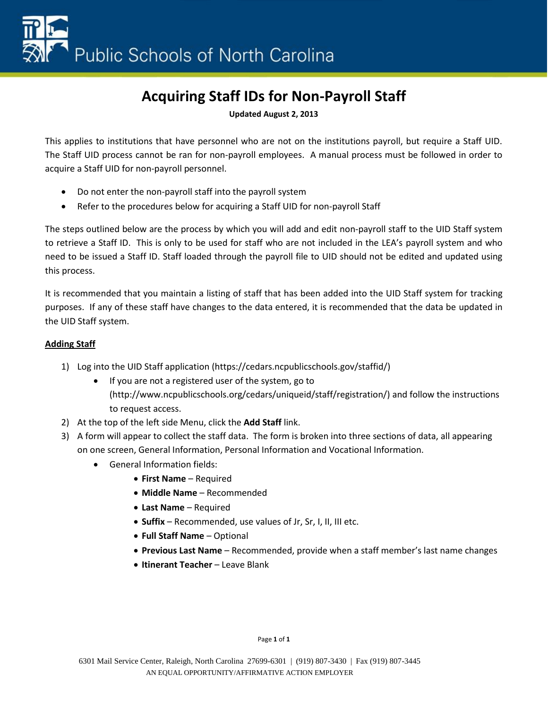**Updated August 2, 2013**

This applies to institutions that have personnel who are not on the institutions payroll, but require a Staff UID. The Staff UID process cannot be ran for non-payroll employees. A manual process must be followed in order to acquire a Staff UID for non-payroll personnel.

- Do not enter the non-payroll staff into the payroll system
- Refer to the procedures below for acquiring a Staff UID for non-payroll Staff

The steps outlined below are the process by which you will add and edit non-payroll staff to the UID Staff system to retrieve a Staff ID. This is only to be used for staff who are not included in the LEA's payroll system and who need to be issued a Staff ID. Staff loaded through the payroll file to UID should not be edited and updated using this process.

It is recommended that you maintain a listing of staff that has been added into the UID Staff system for tracking purposes. If any of these staff have changes to the data entered, it is recommended that the data be updated in the UID Staff system.

## **Adding Staff**

- 1) Log into the UID Staff application (https://cedars.ncpublicschools.gov/staffid/)
	- If you are not a registered user of the system, go to (http://www.ncpublicschools.org/cedars/uniqueid/staff/registration/) and follow the instructions to request access.
- 2) At the top of the left side Menu, click the **Add Staff** link.
- 3) A form will appear to collect the staff data. The form is broken into three sections of data, all appearing on one screen, General Information, Personal Information and Vocational Information.
	- General Information fields:
		- **First Name** Required
		- **Middle Name** Recommended
		- **Last Name** Required
		- **Suffix** Recommended, use values of Jr, Sr, I, II, III etc.
		- **Full Staff Name** Optional
		- **Previous Last Name** Recommended, provide when a staff member's last name changes
		- **Itinerant Teacher** Leave Blank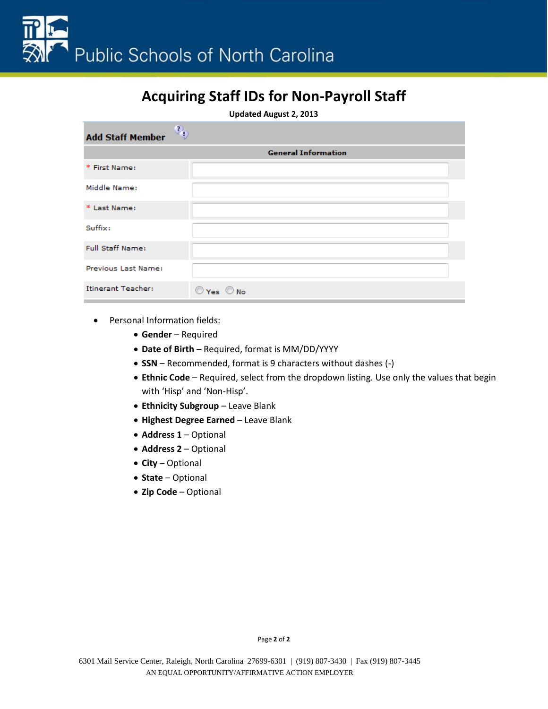**Updated August 2, 2013**

| $\mathbb{Q}_0$<br><b>Add Staff Member</b> |                            |
|-------------------------------------------|----------------------------|
|                                           | <b>General Information</b> |
| * First Name:                             |                            |
| Middle Name:                              |                            |
| * Last Name:                              |                            |
| Suffix:                                   |                            |
| <b>Full Staff Name:</b>                   |                            |
| Previous Last Name:                       |                            |
| Itinerant Teacher:                        | $\odot$ Yes $\odot$ No     |

- Personal Information fields:
	- **Gender** Required
	- **Date of Birth** Required, format is MM/DD/YYYY
	- **SSN** Recommended, format is 9 characters without dashes (-)
	- **Ethnic Code** Required, select from the dropdown listing. Use only the values that begin with 'Hisp' and 'Non-Hisp'.
	- **Ethnicity Subgroup** Leave Blank
	- **Highest Degree Earned** Leave Blank
	- **Address 1** Optional
	- **Address 2** Optional
	- **City** Optional
	- **State** Optional
	- **Zip Code** Optional

Page **2** of **2**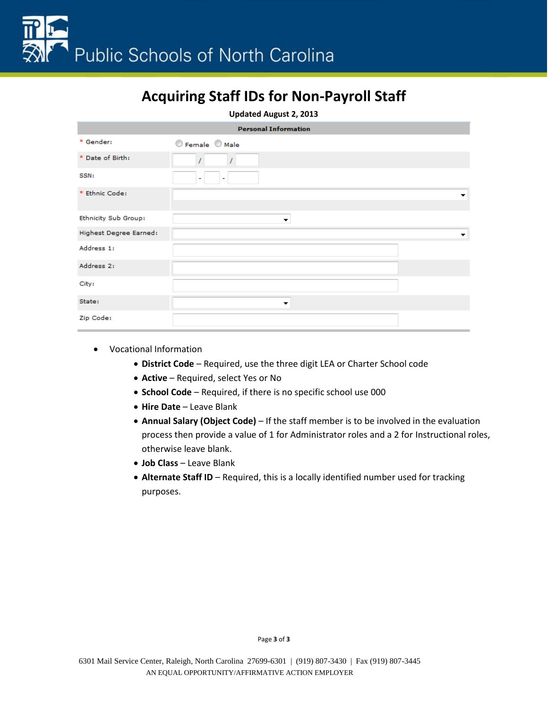**Updated August 2, 2013**

|                             | <b>Personal Information</b> |
|-----------------------------|-----------------------------|
| * Gender:                   | C Female C Male             |
| * Date of Birth:            |                             |
| SSN:                        |                             |
| * Ethnic Code:              |                             |
| <b>Ethnicity Sub Group:</b> | ▼                           |
| Highest Degree Earned:      | ▼                           |
| Address 1:                  |                             |
| Address 2:                  |                             |
| City:                       |                             |
| State:                      | ▼                           |
| Zip Code:                   |                             |

- Vocational Information
	- **District Code** Required, use the three digit LEA or Charter School code
	- **Active** Required, select Yes or No
	- **School Code** Required, if there is no specific school use 000
	- **Hire Date** Leave Blank
	- **Annual Salary (Object Code)** If the staff member is to be involved in the evaluation process then provide a value of 1 for Administrator roles and a 2 for Instructional roles, otherwise leave blank.
	- **Job Class** Leave Blank
	- **Alternate Staff ID** Required, this is a locally identified number used for tracking purposes.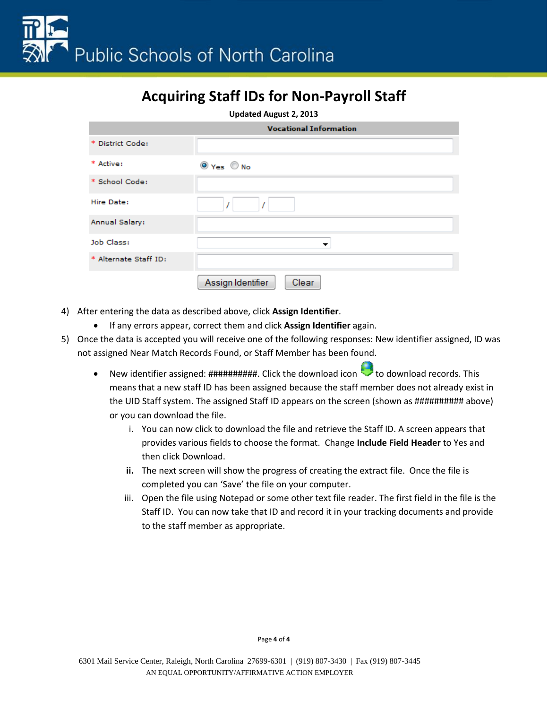**Updated August 2, 2013**

|                       | <b>Vocational Information</b> |
|-----------------------|-------------------------------|
| * District Code:      |                               |
| * Active:             | $\odot$ Yes $\odot$ No        |
| * School Code:        |                               |
| Hire Date:            |                               |
| Annual Salary:        |                               |
| Job Class:            | ▼                             |
| * Alternate Staff ID: |                               |
|                       | Assign Identifier<br>Clear    |

- 4) After entering the data as described above, click **Assign Identifier**.
	- If any errors appear, correct them and click **Assign Identifier** again.
- 5) Once the data is accepted you will receive one of the following responses: New identifier assigned, ID was not assigned Near Match Records Found, or Staff Member has been found.
	- New iden[t](https://cedarstrain.schools.nc.gov/staffid/downloadFormat.do?extractType=01&disabled=true&batch_number=3894)ifier assigned:  $\sharp\sharp\sharp\sharp\sharp\sharp\sharp\sharp\sharp\sharp\sharp\sharp\sharp\sharp$ . Click the download icon the download records. This means that a new staff ID has been assigned because the staff member does not already exist in the UID Staff system. The assigned Staff ID appears on the screen (shown as ########### above) or you can download the file.
		- i. You can now click to download the file and retrieve the Staff ID. A screen appears that provides various fields to choose the format. Change **Include Field Header** to Yes and then click Download.
		- **ii.** The next screen will show the progress of creating the extract file. Once the file is completed you can 'Save' the file on your computer.
		- iii. Open the file using Notepad or some other text file reader. The first field in the file is the Staff ID. You can now take that ID and record it in your tracking documents and provide to the staff member as appropriate.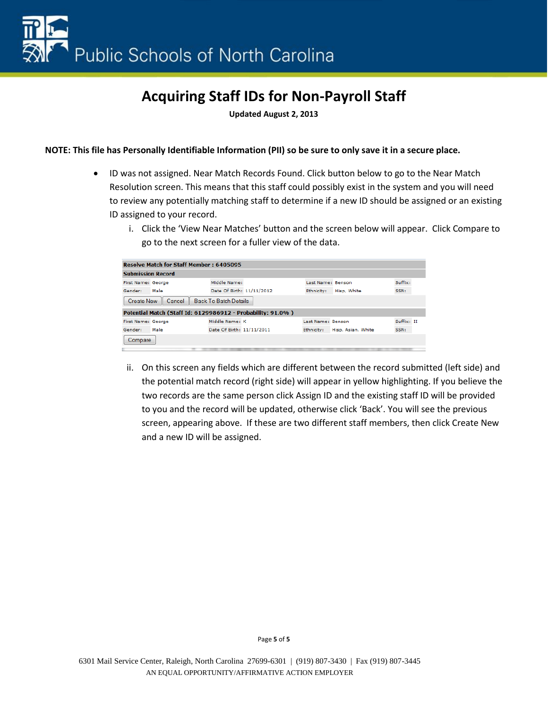**Updated August 2, 2013**

#### **NOTE: This file has Personally Identifiable Information (PII) so be sure to only save it in a secure place.**

- ID was not assigned. Near Match Records Found. Click button below to go to the Near Match Resolution screen. This means that this staff could possibly exist in the system and you will need to review any potentially matching staff to determine if a new ID should be assigned or an existing ID assigned to your record.
	- i. Click the 'View Near Matches' button and the screen below will appear. Click Compare to go to the next screen for a fuller view of the data.

|                          | <b>Resolve Match for Staff Member: 6405095</b>              |                           |                   |                    |            |  |
|--------------------------|-------------------------------------------------------------|---------------------------|-------------------|--------------------|------------|--|
| <b>Submission Record</b> |                                                             |                           |                   |                    |            |  |
| First Name: George       |                                                             | Middle Name:              | Last Name: Benson |                    | Suffix:    |  |
| Gender:                  | Male                                                        | Date Of Birth: 11/11/2012 | Ethnicity:        | Hisp, White        | SSN:       |  |
| <b>Create New</b>        | Cancel                                                      | Back To Batch Details     |                   |                    |            |  |
|                          | Potential Match (Staff Id: 6129986912 - Probability: 91.0%) |                           |                   |                    |            |  |
| First Name: George       |                                                             | Middle Name: K            | Last Name: Benson |                    | Suffix: II |  |
| Gender:                  | Male                                                        | Date Of Birth: 11/11/2011 | Ethnicity:        | Hisp, Asian, White | SSN:       |  |
| Compare                  |                                                             |                           |                   |                    |            |  |
|                          |                                                             |                           |                   |                    |            |  |

ii. On this screen any fields which are different between the record submitted (left side) and the potential match record (right side) will appear in yellow highlighting. If you believe the two records are the same person click Assign ID and the existing staff ID will be provided to you and the record will be updated, otherwise click 'Back'. You will see the previous screen, appearing above. If these are two different staff members, then click Create New and a new ID will be assigned.

Page **5** of **5**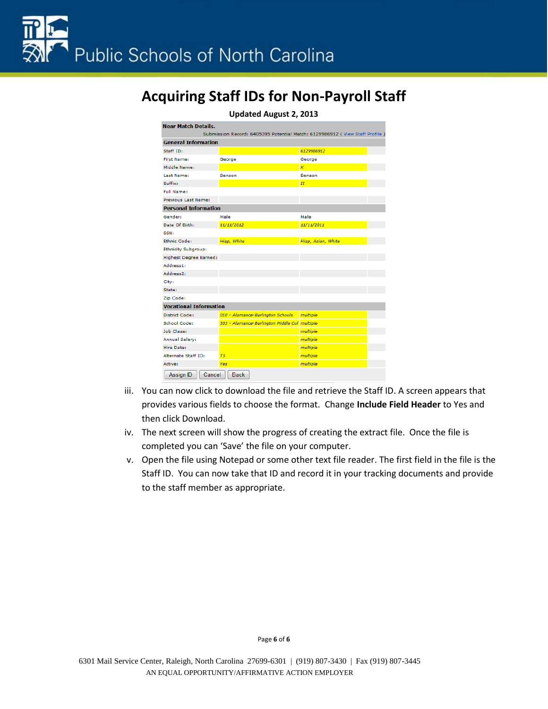| <b>Updated August 2, 2013</b>                                               |                                               |                    |  |  |  |
|-----------------------------------------------------------------------------|-----------------------------------------------|--------------------|--|--|--|
| <b>Near Match Details.</b>                                                  |                                               |                    |  |  |  |
| Submission Record: 6405095 Potential Match: 6129986912 (View Staff Profile) |                                               |                    |  |  |  |
| <b>General Information</b>                                                  |                                               |                    |  |  |  |
| Staff ID:                                                                   |                                               | 6129986912         |  |  |  |
| <b>First Name:</b>                                                          | George                                        | George             |  |  |  |
| Middle Name:                                                                |                                               | $\kappa$           |  |  |  |
| Last Name:                                                                  | Benson                                        | Benson             |  |  |  |
| Suffix:                                                                     |                                               | $\overline{H}$     |  |  |  |
| <b>Full Name:</b>                                                           |                                               |                    |  |  |  |
| Previous Last Name:                                                         |                                               |                    |  |  |  |
| <b>Personal Information</b>                                                 |                                               |                    |  |  |  |
| Gender:                                                                     | Male                                          | Male               |  |  |  |
| Date Of Birth:                                                              | 11/11/2012                                    | 11/11/2011         |  |  |  |
| SSN:                                                                        |                                               |                    |  |  |  |
| Ethnic Code:                                                                | Hisp, White                                   | Hisp, Asian, White |  |  |  |
| <b>Ethnicity Subgroup:</b>                                                  |                                               |                    |  |  |  |
| Highest Degree Earned:                                                      |                                               |                    |  |  |  |
| Address1:                                                                   |                                               |                    |  |  |  |
| Address <sub>2</sub> :                                                      |                                               |                    |  |  |  |
| City:                                                                       |                                               |                    |  |  |  |
| State:                                                                      |                                               |                    |  |  |  |
| Zip Code:                                                                   |                                               |                    |  |  |  |
| <b>Vocational Information</b>                                               |                                               |                    |  |  |  |
| <b>District Code:</b>                                                       | 010 - Alamance-Burlington Schools             | multiple           |  |  |  |
| School Code:                                                                | 303 - Alamance-Burlington Middle Col multiple |                    |  |  |  |
| Job Class:                                                                  |                                               | multiple           |  |  |  |
| Annual Salary:                                                              |                                               | multiple           |  |  |  |
| Hire Date:                                                                  |                                               | multiple           |  |  |  |
| Alternate Staff ID:                                                         | T3                                            | multiple           |  |  |  |
| Active:                                                                     | Yes                                           | multiple           |  |  |  |
| Assign ID<br>Cancel                                                         | <b>Back</b>                                   |                    |  |  |  |

- iii. You can now click to download the file and retrieve the Staff ID. A screen appears that provides various fields to choose the format. Change **Include Field Header** to Yes and then click Download.
- iv. The next screen will show the progress of creating the extract file. Once the file is completed you can 'Save' the file on your computer.
- v. Open the file using Notepad or some other text file reader. The first field in the file is the Staff ID. You can now take that ID and record it in your tracking documents and provide to the staff member as appropriate.